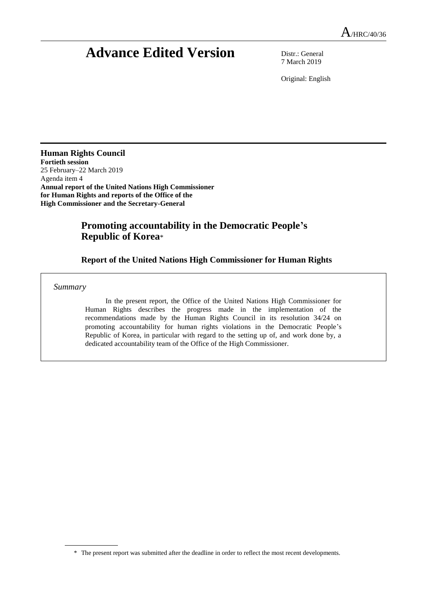# **Advance Edited Version** Distr.: General

7 March 2019

Original: English

**Human Rights Council Fortieth session** 25 February–22 March 2019 Agenda item 4 **Annual report of the United Nations High Commissioner for Human Rights and reports of the Office of the High Commissioner and the Secretary-General**

# **Promoting accountability in the Democratic People's Republic of Korea**\*

## **Report of the United Nations High Commissioner for Human Rights**

*Summary*

In the present report, the Office of the United Nations High Commissioner for Human Rights describes the progress made in the implementation of the recommendations made by the Human Rights Council in its resolution 34/24 on promoting accountability for human rights violations in the Democratic People's Republic of Korea, in particular with regard to the setting up of, and work done by, a dedicated accountability team of the Office of the High Commissioner.

<sup>\*</sup> The present report was submitted after the deadline in order to reflect the most recent developments.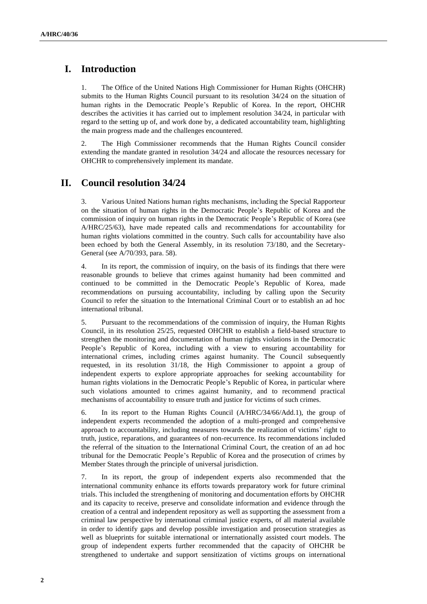## **I. Introduction**

1. The Office of the United Nations High Commissioner for Human Rights (OHCHR) submits to the Human Rights Council pursuant to its resolution 34/24 on the situation of human rights in the Democratic People's Republic of Korea. In the report, OHCHR describes the activities it has carried out to implement resolution 34/24, in particular with regard to the setting up of, and work done by, a dedicated accountability team, highlighting the main progress made and the challenges encountered.

2. The High Commissioner recommends that the Human Rights Council consider extending the mandate granted in resolution 34/24 and allocate the resources necessary for OHCHR to comprehensively implement its mandate.

## **II. Council resolution 34/24**

3. Various United Nations human rights mechanisms, including the Special Rapporteur on the situation of human rights in the Democratic People's Republic of Korea and the commission of inquiry on human rights in the Democratic People's Republic of Korea (see A/HRC/25/63), have made repeated calls and recommendations for accountability for human rights violations committed in the country. Such calls for accountability have also been echoed by both the General Assembly, in its resolution 73/180, and the Secretary-General (see A/70/393, para. 58).

4. In its report, the commission of inquiry, on the basis of its findings that there were reasonable grounds to believe that crimes against humanity had been committed and continued to be committed in the Democratic People's Republic of Korea, made recommendations on pursuing accountability, including by calling upon the Security Council to refer the situation to the International Criminal Court or to establish an ad hoc international tribunal.

5. Pursuant to the recommendations of the commission of inquiry, the Human Rights Council, in its resolution 25/25, requested OHCHR to establish a field-based structure to strengthen the monitoring and documentation of human rights violations in the Democratic People's Republic of Korea, including with a view to ensuring accountability for international crimes, including crimes against humanity. The Council subsequently requested, in its resolution 31/18, the High Commissioner to appoint a group of independent experts to explore appropriate approaches for seeking accountability for human rights violations in the Democratic People's Republic of Korea, in particular where such violations amounted to crimes against humanity, and to recommend practical mechanisms of accountability to ensure truth and justice for victims of such crimes.

6. In its report to the Human Rights Council (A/HRC/34/66/Add.1), the group of independent experts recommended the adoption of a multi-pronged and comprehensive approach to accountability, including measures towards the realization of victims' right to truth, justice, reparations, and guarantees of non-recurrence. Its recommendations included the referral of the situation to the International Criminal Court, the creation of an ad hoc tribunal for the Democratic People's Republic of Korea and the prosecution of crimes by Member States through the principle of universal jurisdiction.

7. In its report, the group of independent experts also recommended that the international community enhance its efforts towards preparatory work for future criminal trials. This included the strengthening of monitoring and documentation efforts by OHCHR and its capacity to receive, preserve and consolidate information and evidence through the creation of a central and independent repository as well as supporting the assessment from a criminal law perspective by international criminal justice experts, of all material available in order to identify gaps and develop possible investigation and prosecution strategies as well as blueprints for suitable international or internationally assisted court models. The group of independent experts further recommended that the capacity of OHCHR be strengthened to undertake and support sensitization of victims groups on international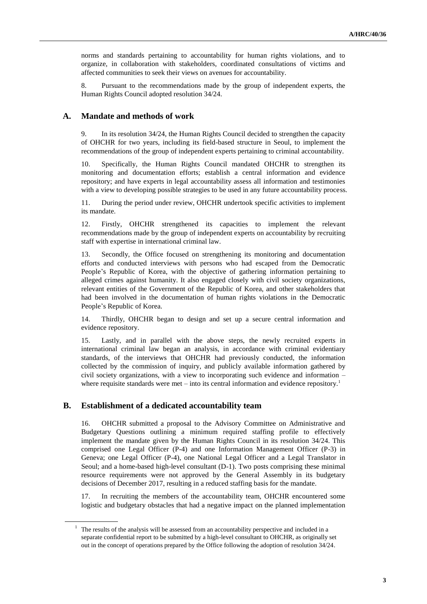norms and standards pertaining to accountability for human rights violations, and to organize, in collaboration with stakeholders, coordinated consultations of victims and affected communities to seek their views on avenues for accountability.

8. Pursuant to the recommendations made by the group of independent experts, the Human Rights Council adopted resolution 34/24.

#### **A. Mandate and methods of work**

9. In its resolution 34/24, the Human Rights Council decided to strengthen the capacity of OHCHR for two years, including its field-based structure in Seoul, to implement the recommendations of the group of independent experts pertaining to criminal accountability.

10. Specifically, the Human Rights Council mandated OHCHR to strengthen its monitoring and documentation efforts; establish a central information and evidence repository; and have experts in legal accountability assess all information and testimonies with a view to developing possible strategies to be used in any future accountability process.

11. During the period under review, OHCHR undertook specific activities to implement its mandate.

12. Firstly, OHCHR strengthened its capacities to implement the relevant recommendations made by the group of independent experts on accountability by recruiting staff with expertise in international criminal law.

13. Secondly, the Office focused on strengthening its monitoring and documentation efforts and conducted interviews with persons who had escaped from the Democratic People's Republic of Korea, with the objective of gathering information pertaining to alleged crimes against humanity. It also engaged closely with civil society organizations, relevant entities of the Government of the Republic of Korea, and other stakeholders that had been involved in the documentation of human rights violations in the Democratic People's Republic of Korea.

14. Thirdly, OHCHR began to design and set up a secure central information and evidence repository.

15. Lastly, and in parallel with the above steps, the newly recruited experts in international criminal law began an analysis, in accordance with criminal evidentiary standards, of the interviews that OHCHR had previously conducted, the information collected by the commission of inquiry, and publicly available information gathered by civil society organizations, with a view to incorporating such evidence and information – where requisite standards were met – into its central information and evidence repository.<sup>1</sup>

#### **B. Establishment of a dedicated accountability team**

16. OHCHR submitted a proposal to the Advisory Committee on Administrative and Budgetary Questions outlining a minimum required staffing profile to effectively implement the mandate given by the Human Rights Council in its resolution 34/24. This comprised one Legal Officer (P-4) and one Information Management Officer (P-3) in Geneva; one Legal Officer (P-4), one National Legal Officer and a Legal Translator in Seoul; and a home-based high-level consultant (D-1). Two posts comprising these minimal resource requirements were not approved by the General Assembly in its budgetary decisions of December 2017, resulting in a reduced staffing basis for the mandate.

17. In recruiting the members of the accountability team, OHCHR encountered some logistic and budgetary obstacles that had a negative impact on the planned implementation

 $1$  The results of the analysis will be assessed from an accountability perspective and included in a separate confidential report to be submitted by a high-level consultant to OHCHR, as originally set out in the concept of operations prepared by the Office following the adoption of resolution 34/24.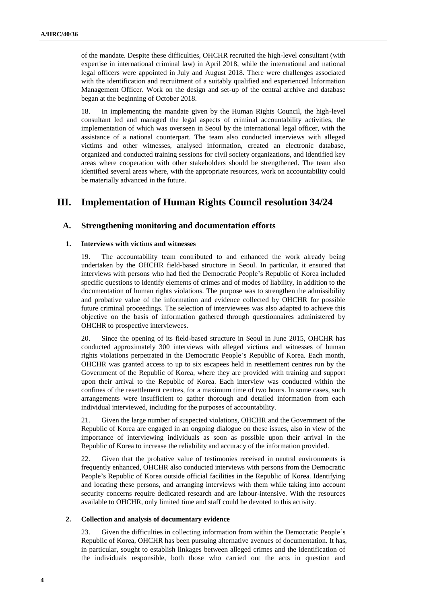of the mandate. Despite these difficulties, OHCHR recruited the high-level consultant (with expertise in international criminal law) in April 2018, while the international and national legal officers were appointed in July and August 2018. There were challenges associated with the identification and recruitment of a suitably qualified and experienced Information Management Officer. Work on the design and set-up of the central archive and database began at the beginning of October 2018.

18. In implementing the mandate given by the Human Rights Council, the high-level consultant led and managed the legal aspects of criminal accountability activities, the implementation of which was overseen in Seoul by the international legal officer, with the assistance of a national counterpart. The team also conducted interviews with alleged victims and other witnesses, analysed information, created an electronic database, organized and conducted training sessions for civil society organizations, and identified key areas where cooperation with other stakeholders should be strengthened. The team also identified several areas where, with the appropriate resources, work on accountability could be materially advanced in the future.

## **III. Implementation of Human Rights Council resolution 34/24**

#### **A. Strengthening monitoring and documentation efforts**

#### **1. Interviews with victims and witnesses**

19. The accountability team contributed to and enhanced the work already being undertaken by the OHCHR field-based structure in Seoul. In particular, it ensured that interviews with persons who had fled the Democratic People's Republic of Korea included specific questions to identify elements of crimes and of modes of liability, in addition to the documentation of human rights violations. The purpose was to strengthen the admissibility and probative value of the information and evidence collected by OHCHR for possible future criminal proceedings. The selection of interviewees was also adapted to achieve this objective on the basis of information gathered through questionnaires administered by OHCHR to prospective interviewees.

20. Since the opening of its field-based structure in Seoul in June 2015, OHCHR has conducted approximately 300 interviews with alleged victims and witnesses of human rights violations perpetrated in the Democratic People's Republic of Korea. Each month, OHCHR was granted access to up to six escapees held in resettlement centres run by the Government of the Republic of Korea, where they are provided with training and support upon their arrival to the Republic of Korea. Each interview was conducted within the confines of the resettlement centres, for a maximum time of two hours. In some cases, such arrangements were insufficient to gather thorough and detailed information from each individual interviewed, including for the purposes of accountability.

21. Given the large number of suspected violations, OHCHR and the Government of the Republic of Korea are engaged in an ongoing dialogue on these issues, also in view of the importance of interviewing individuals as soon as possible upon their arrival in the Republic of Korea to increase the reliability and accuracy of the information provided.

22. Given that the probative value of testimonies received in neutral environments is frequently enhanced, OHCHR also conducted interviews with persons from the Democratic People's Republic of Korea outside official facilities in the Republic of Korea. Identifying and locating these persons, and arranging interviews with them while taking into account security concerns require dedicated research and are labour-intensive. With the resources available to OHCHR, only limited time and staff could be devoted to this activity.

#### **2. Collection and analysis of documentary evidence**

23. Given the difficulties in collecting information from within the Democratic People's Republic of Korea, OHCHR has been pursuing alternative avenues of documentation. It has, in particular, sought to establish linkages between alleged crimes and the identification of the individuals responsible, both those who carried out the acts in question and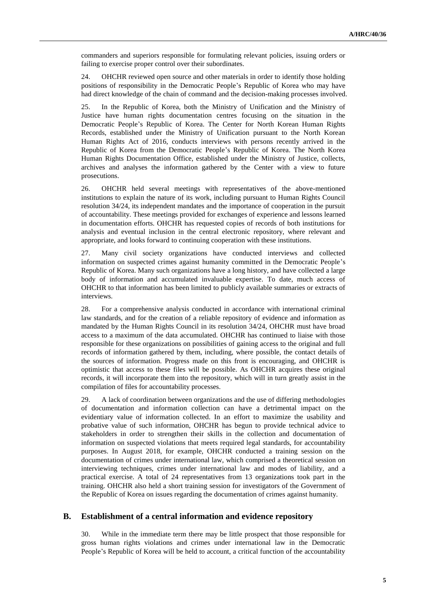commanders and superiors responsible for formulating relevant policies, issuing orders or failing to exercise proper control over their subordinates.

24. OHCHR reviewed open source and other materials in order to identify those holding positions of responsibility in the Democratic People's Republic of Korea who may have had direct knowledge of the chain of command and the decision-making processes involved.

25. In the Republic of Korea, both the Ministry of Unification and the Ministry of Justice have human rights documentation centres focusing on the situation in the Democratic People's Republic of Korea. The Center for North Korean Human Rights Records, established under the Ministry of Unification pursuant to the North Korean Human Rights Act of 2016, conducts interviews with persons recently arrived in the Republic of Korea from the Democratic People's Republic of Korea. The North Korea Human Rights Documentation Office, established under the Ministry of Justice, collects, archives and analyses the information gathered by the Center with a view to future prosecutions.

26. OHCHR held several meetings with representatives of the above-mentioned institutions to explain the nature of its work, including pursuant to Human Rights Council resolution 34/24, its independent mandates and the importance of cooperation in the pursuit of accountability. These meetings provided for exchanges of experience and lessons learned in documentation efforts. OHCHR has requested copies of records of both institutions for analysis and eventual inclusion in the central electronic repository, where relevant and appropriate, and looks forward to continuing cooperation with these institutions.

27. Many civil society organizations have conducted interviews and collected information on suspected crimes against humanity committed in the Democratic People's Republic of Korea. Many such organizations have a long history, and have collected a large body of information and accumulated invaluable expertise. To date, much access of OHCHR to that information has been limited to publicly available summaries or extracts of interviews.

28. For a comprehensive analysis conducted in accordance with international criminal law standards, and for the creation of a reliable repository of evidence and information as mandated by the Human Rights Council in its resolution 34/24, OHCHR must have broad access to a maximum of the data accumulated. OHCHR has continued to liaise with those responsible for these organizations on possibilities of gaining access to the original and full records of information gathered by them, including, where possible, the contact details of the sources of information. Progress made on this front is encouraging, and OHCHR is optimistic that access to these files will be possible. As OHCHR acquires these original records, it will incorporate them into the repository, which will in turn greatly assist in the compilation of files for accountability processes.

29. A lack of coordination between organizations and the use of differing methodologies of documentation and information collection can have a detrimental impact on the evidentiary value of information collected. In an effort to maximize the usability and probative value of such information, OHCHR has begun to provide technical advice to stakeholders in order to strengthen their skills in the collection and documentation of information on suspected violations that meets required legal standards, for accountability purposes. In August 2018, for example, OHCHR conducted a training session on the documentation of crimes under international law, which comprised a theoretical session on interviewing techniques, crimes under international law and modes of liability, and a practical exercise. A total of 24 representatives from 13 organizations took part in the training. OHCHR also held a short training session for investigators of the Government of the Republic of Korea on issues regarding the documentation of crimes against humanity.

#### **B. Establishment of a central information and evidence repository**

30. While in the immediate term there may be little prospect that those responsible for gross human rights violations and crimes under international law in the Democratic People's Republic of Korea will be held to account, a critical function of the accountability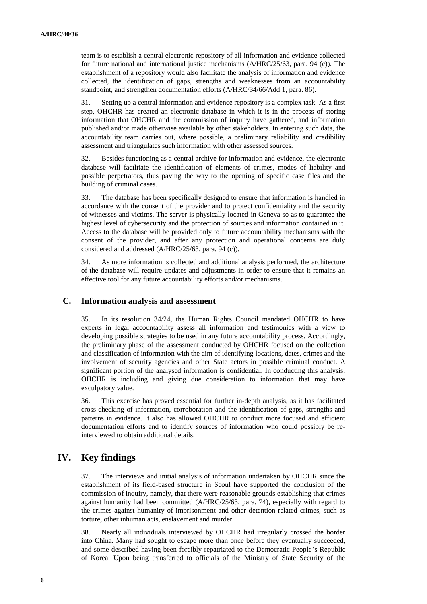team is to establish a central electronic repository of all information and evidence collected for future national and international justice mechanisms (A/HRC/25/63, para. 94 (c)). The establishment of a repository would also facilitate the analysis of information and evidence collected, the identification of gaps, strengths and weaknesses from an accountability standpoint, and strengthen documentation efforts (A/HRC/34/66/Add.1, para. 86).

31. Setting up a central information and evidence repository is a complex task. As a first step, OHCHR has created an electronic database in which it is in the process of storing information that OHCHR and the commission of inquiry have gathered, and information published and/or made otherwise available by other stakeholders. In entering such data, the accountability team carries out, where possible, a preliminary reliability and credibility assessment and triangulates such information with other assessed sources.

32. Besides functioning as a central archive for information and evidence, the electronic database will facilitate the identification of elements of crimes, modes of liability and possible perpetrators, thus paving the way to the opening of specific case files and the building of criminal cases.

33. The database has been specifically designed to ensure that information is handled in accordance with the consent of the provider and to protect confidentiality and the security of witnesses and victims. The server is physically located in Geneva so as to guarantee the highest level of cybersecurity and the protection of sources and information contained in it. Access to the database will be provided only to future accountability mechanisms with the consent of the provider, and after any protection and operational concerns are duly considered and addressed (A/HRC/25/63, para. 94 (c)).

34. As more information is collected and additional analysis performed, the architecture of the database will require updates and adjustments in order to ensure that it remains an effective tool for any future accountability efforts and/or mechanisms.

#### **C. Information analysis and assessment**

35. In its resolution 34/24, the Human Rights Council mandated OHCHR to have experts in legal accountability assess all information and testimonies with a view to developing possible strategies to be used in any future accountability process. Accordingly, the preliminary phase of the assessment conducted by OHCHR focused on the collection and classification of information with the aim of identifying locations, dates, crimes and the involvement of security agencies and other State actors in possible criminal conduct. A significant portion of the analysed information is confidential. In conducting this analysis, OHCHR is including and giving due consideration to information that may have exculpatory value.

36. This exercise has proved essential for further in-depth analysis, as it has facilitated cross-checking of information, corroboration and the identification of gaps, strengths and patterns in evidence. It also has allowed OHCHR to conduct more focused and efficient documentation efforts and to identify sources of information who could possibly be reinterviewed to obtain additional details.

## **IV. Key findings**

37. The interviews and initial analysis of information undertaken by OHCHR since the establishment of its field-based structure in Seoul have supported the conclusion of the commission of inquiry, namely, that there were reasonable grounds establishing that crimes against humanity had been committed (A/HRC/25/63, para. 74), especially with regard to the crimes against humanity of imprisonment and other detention-related crimes, such as torture, other inhuman acts, enslavement and murder.

38. Nearly all individuals interviewed by OHCHR had irregularly crossed the border into China. Many had sought to escape more than once before they eventually succeeded, and some described having been forcibly repatriated to the Democratic People's Republic of Korea. Upon being transferred to officials of the Ministry of State Security of the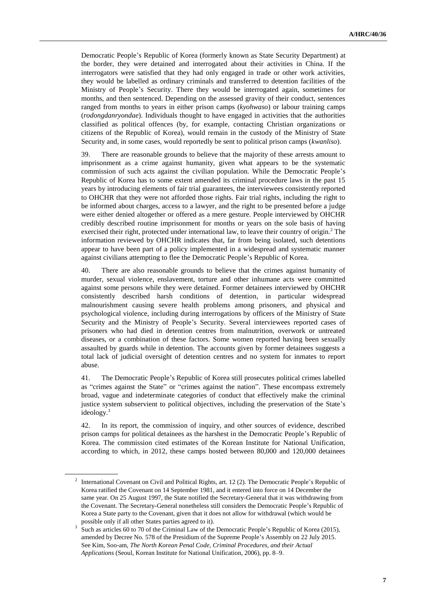Democratic People's Republic of Korea (formerly known as State Security Department) at the border, they were detained and interrogated about their activities in China. If the interrogators were satisfied that they had only engaged in trade or other work activities, they would be labelled as ordinary criminals and transferred to detention facilities of the Ministry of People's Security. There they would be interrogated again, sometimes for months, and then sentenced. Depending on the assessed gravity of their conduct, sentences ranged from months to years in either prison camps (*kyohwaso*) or labour training camps (*rodongdanryondae*). Individuals thought to have engaged in activities that the authorities classified as political offences (by, for example, contacting Christian organizations or citizens of the Republic of Korea), would remain in the custody of the Ministry of State Security and, in some cases, would reportedly be sent to political prison camps (*kwanliso*).

39. There are reasonable grounds to believe that the majority of these arrests amount to imprisonment as a crime against humanity, given what appears to be the systematic commission of such acts against the civilian population. While the Democratic People's Republic of Korea has to some extent amended its criminal procedure laws in the past 15 years by introducing elements of fair trial guarantees, the interviewees consistently reported to OHCHR that they were not afforded those rights. Fair trial rights, including the right to be informed about charges, access to a lawyer, and the right to be presented before a judge were either denied altogether or offered as a mere gesture. People interviewed by OHCHR credibly described routine imprisonment for months or years on the sole basis of having exercised their right, protected under international law, to leave their country of origin.<sup>2</sup> The information reviewed by OHCHR indicates that, far from being isolated, such detentions appear to have been part of a policy implemented in a widespread and systematic manner against civilians attempting to flee the Democratic People's Republic of Korea.

40. There are also reasonable grounds to believe that the crimes against humanity of murder, sexual violence, enslavement, torture and other inhumane acts were committed against some persons while they were detained. Former detainees interviewed by OHCHR consistently described harsh conditions of detention, in particular widespread malnourishment causing severe health problems among prisoners, and physical and psychological violence, including during interrogations by officers of the Ministry of State Security and the Ministry of People's Security. Several interviewees reported cases of prisoners who had died in detention centres from malnutrition, overwork or untreated diseases, or a combination of these factors. Some women reported having been sexually assaulted by guards while in detention. The accounts given by former detainees suggests a total lack of judicial oversight of detention centres and no system for inmates to report abuse.

41. The Democratic People's Republic of Korea still prosecutes political crimes labelled as "crimes against the State" or "crimes against the nation". These encompass extremely broad, vague and indeterminate categories of conduct that effectively make the criminal justice system subservient to political objectives, including the preservation of the State's ideology.<sup>3</sup>

42. In its report, the commission of inquiry, and other sources of evidence, described prison camps for political detainees as the harshest in the Democratic People's Republic of Korea. The commission cited estimates of the Korean Institute for National Unification, according to which, in 2012, these camps hosted between 80,000 and 120,000 detainees

<sup>&</sup>lt;sup>2</sup> International Covenant on Civil and Political Rights, art. 12 (2). The Democratic People's Republic of Korea ratified the Covenant on 14 September 1981, and it entered into force on 14 December the same year. On 25 August 1997, the State notified the Secretary-General that it was withdrawing from the Covenant. The Secretary-General nonetheless still considers the Democratic People's Republic of Korea a State party to the Covenant, given that it does not allow for withdrawal (which would be possible only if all other States parties agreed to it).

<sup>3</sup> Such as articles 60 to 70 of the Criminal Law of the Democratic People's Republic of Korea (2015), amended by Decree No. 578 of the Presidium of the Supreme People's Assembly on 22 July 2015. See Kim, Soo-am, *The North Korean Penal Code, Criminal Procedures, and their Actual Applications* (Seoul, Korean Institute for National Unification, 2006), pp. 8–9.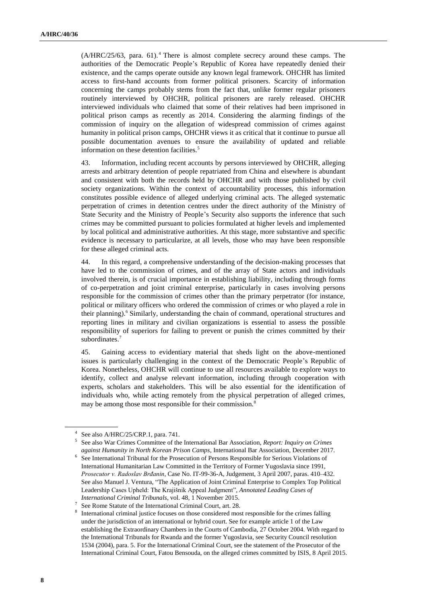$(A/HRC/25/63, para. 61).$ <sup>4</sup> There is almost complete secrecy around these camps. The authorities of the Democratic People's Republic of Korea have repeatedly denied their existence, and the camps operate outside any known legal framework. OHCHR has limited access to first-hand accounts from former political prisoners. Scarcity of information concerning the camps probably stems from the fact that, unlike former regular prisoners routinely interviewed by OHCHR, political prisoners are rarely released. OHCHR interviewed individuals who claimed that some of their relatives had been imprisoned in political prison camps as recently as 2014. Considering the alarming findings of the commission of inquiry on the allegation of widespread commission of crimes against humanity in political prison camps, OHCHR views it as critical that it continue to pursue all possible documentation avenues to ensure the availability of updated and reliable information on these detention facilities.<sup>5</sup>

43. Information, including recent accounts by persons interviewed by OHCHR, alleging arrests and arbitrary detention of people repatriated from China and elsewhere is abundant and consistent with both the records held by OHCHR and with those published by civil society organizations. Within the context of accountability processes, this information constitutes possible evidence of alleged underlying criminal acts. The alleged systematic perpetration of crimes in detention centres under the direct authority of the Ministry of State Security and the Ministry of People's Security also supports the inference that such crimes may be committed pursuant to policies formulated at higher levels and implemented by local political and administrative authorities. At this stage, more substantive and specific evidence is necessary to particularize, at all levels, those who may have been responsible for these alleged criminal acts.

44. In this regard, a comprehensive understanding of the decision-making processes that have led to the commission of crimes, and of the array of State actors and individuals involved therein, is of crucial importance in establishing liability, including through forms of co-perpetration and joint criminal enterprise, particularly in cases involving persons responsible for the commission of crimes other than the primary perpetrator (for instance, political or military officers who ordered the commission of crimes or who played a role in their planning).<sup>6</sup> Similarly, understanding the chain of command, operational structures and reporting lines in military and civilian organizations is essential to assess the possible responsibility of superiors for failing to prevent or punish the crimes committed by their subordinates.<sup>7</sup>

45. Gaining access to evidentiary material that sheds light on the above-mentioned issues is particularly challenging in the context of the Democratic People's Republic of Korea. Nonetheless, OHCHR will continue to use all resources available to explore ways to identify, collect and analyse relevant information, including through cooperation with experts, scholars and stakeholders. This will be also essential for the identification of individuals who, while acting remotely from the physical perpetration of alleged crimes, may be among those most responsible for their commission.<sup>8</sup>

<sup>4</sup> See also A/HRC/25/CRP.1, para. 741.

<sup>5</sup> See also War Crimes Committee of the International Bar Association, *Report: Inquiry on Crimes against Humanity in North Korean Prison Camps*, International Bar Association, December 2017.

<sup>&</sup>lt;sup>6</sup> See International Tribunal for the Prosecution of Persons Responsible for Serious Violations of International Humanitarian Law Committed in the Territory of Former Yugoslavia since 1991, *Prosecutor v. Radoslav Brđanin*, Case No. IT-99-36-A, Judgement, 3 April 2007, paras. 410–432. See also Manuel J. Ventura, "The Application of Joint Criminal Enterprise to Complex Top Political Leadership Cases Upheld: The Krajišnik Appeal Judgment", *Annotated Leading Cases of International Criminal Tribunals*, vol. 48, 1 November 2015.

<sup>7</sup> See Rome Statute of the International Criminal Court, art. 28.

<sup>&</sup>lt;sup>8</sup> International criminal justice focuses on those considered most responsible for the crimes falling under the jurisdiction of an international or hybrid court. See for example article 1 of the Law establishing the Extraordinary Chambers in the Courts of Cambodia, 27 October 2004. With regard to the International Tribunals for Rwanda and the former Yugoslavia, see Security Council resolution 1534 (2004), para. 5. For the International Criminal Court, see the statement of the Prosecutor of the International Criminal Court, Fatou Bensouda, on the alleged crimes committed by ISIS, 8 April 2015.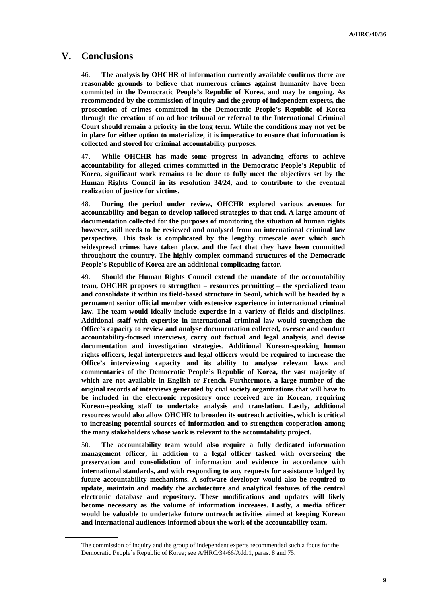## **V. Conclusions**

46. **The analysis by OHCHR of information currently available confirms there are reasonable grounds to believe that numerous crimes against humanity have been committed in the Democratic People's Republic of Korea, and may be ongoing. As recommended by the commission of inquiry and the group of independent experts, the prosecution of crimes committed in the Democratic People's Republic of Korea through the creation of an ad hoc tribunal or referral to the International Criminal Court should remain a priority in the long term. While the conditions may not yet be in place for either option to materialize, it is imperative to ensure that information is collected and stored for criminal accountability purposes.**

47. **While OHCHR has made some progress in advancing efforts to achieve accountability for alleged crimes committed in the Democratic People's Republic of Korea, significant work remains to be done to fully meet the objectives set by the Human Rights Council in its resolution 34/24, and to contribute to the eventual realization of justice for victims.**

48. **During the period under review, OHCHR explored various avenues for accountability and began to develop tailored strategies to that end. A large amount of documentation collected for the purposes of monitoring the situation of human rights however, still needs to be reviewed and analysed from an international criminal law perspective. This task is complicated by the lengthy timescale over which such widespread crimes have taken place, and the fact that they have been committed throughout the country. The highly complex command structures of the Democratic People's Republic of Korea are an additional complicating factor.** 

49. **Should the Human Rights Council extend the mandate of the accountability team, OHCHR proposes to strengthen – resources permitting – the specialized team and consolidate it within its field-based structure in Seoul, which will be headed by a permanent senior official member with extensive experience in international criminal law. The team would ideally include expertise in a variety of fields and disciplines. Additional staff with expertise in international criminal law would strengthen the Office's capacity to review and analyse documentation collected, oversee and conduct accountability-focused interviews, carry out factual and legal analysis, and devise documentation and investigation strategies. Additional Korean-speaking human rights officers, legal interpreters and legal officers would be required to increase the Office's interviewing capacity and its ability to analyse relevant laws and commentaries of the Democratic People's Republic of Korea, the vast majority of which are not available in English or French. Furthermore, a large number of the original records of interviews generated by civil society organizations that will have to be included in the electronic repository once received are in Korean, requiring Korean-speaking staff to undertake analysis and translation. Lastly, additional resources would also allow OHCHR to broaden its outreach activities, which is critical to increasing potential sources of information and to strengthen cooperation among the many stakeholders whose work is relevant to the accountability project.** 

50. **The accountability team would also require a fully dedicated information management officer, in addition to a legal officer tasked with overseeing the preservation and consolidation of information and evidence in accordance with international standards, and with responding to any requests for assistance lodged by future accountability mechanisms. A software developer would also be required to update, maintain and modify the architecture and analytical features of the central electronic database and repository. These modifications and updates will likely become necessary as the volume of information increases. Lastly, a media officer would be valuable to undertake future outreach activities aimed at keeping Korean and international audiences informed about the work of the accountability team.**

The commission of inquiry and the group of independent experts recommended such a focus for the Democratic People's Republic of Korea; see A/HRC/34/66/Add.1, paras. 8 and 75.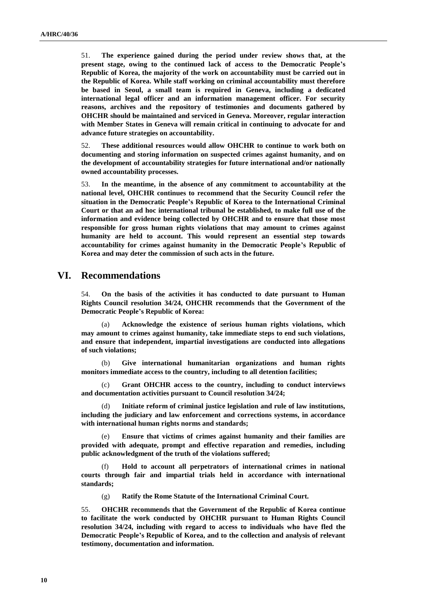51. **The experience gained during the period under review shows that, at the present stage, owing to the continued lack of access to the Democratic People's Republic of Korea, the majority of the work on accountability must be carried out in the Republic of Korea. While staff working on criminal accountability must therefore be based in Seoul, a small team is required in Geneva, including a dedicated international legal officer and an information management officer. For security reasons, archives and the repository of testimonies and documents gathered by OHCHR should be maintained and serviced in Geneva. Moreover, regular interaction with Member States in Geneva will remain critical in continuing to advocate for and advance future strategies on accountability.**

52. **These additional resources would allow OHCHR to continue to work both on documenting and storing information on suspected crimes against humanity, and on the development of accountability strategies for future international and/or nationally owned accountability processes.** 

53. **In the meantime, in the absence of any commitment to accountability at the national level, OHCHR continues to recommend that the Security Council refer the situation in the Democratic People's Republic of Korea to the International Criminal Court or that an ad hoc international tribunal be established, to make full use of the information and evidence being collected by OHCHR and to ensure that those most responsible for gross human rights violations that may amount to crimes against humanity are held to account. This would represent an essential step towards accountability for crimes against humanity in the Democratic People's Republic of Korea and may deter the commission of such acts in the future.**

## **VI. Recommendations**

54. **On the basis of the activities it has conducted to date pursuant to Human Rights Council resolution 34/24, OHCHR recommends that the Government of the Democratic People's Republic of Korea:**

(a) **Acknowledge the existence of serious human rights violations, which may amount to crimes against humanity, take immediate steps to end such violations, and ensure that independent, impartial investigations are conducted into allegations of such violations;**

(b) **Give international humanitarian organizations and human rights monitors immediate access to the country, including to all detention facilities;**

(c) **Grant OHCHR access to the country, including to conduct interviews and documentation activities pursuant to Council resolution 34/24;**

Initiate reform of criminal justice legislation and rule of law institutions, **including the judiciary and law enforcement and corrections systems, in accordance with international human rights norms and standards;**

(e) **Ensure that victims of crimes against humanity and their families are provided with adequate, prompt and effective reparation and remedies, including public acknowledgment of the truth of the violations suffered;**

(f) **Hold to account all perpetrators of international crimes in national courts through fair and impartial trials held in accordance with international standards;**

(g) **Ratify the Rome Statute of the International Criminal Court.**

55. **OHCHR recommends that the Government of the Republic of Korea continue to facilitate the work conducted by OHCHR pursuant to Human Rights Council resolution 34/24, including with regard to access to individuals who have fled the Democratic People's Republic of Korea, and to the collection and analysis of relevant testimony, documentation and information.**